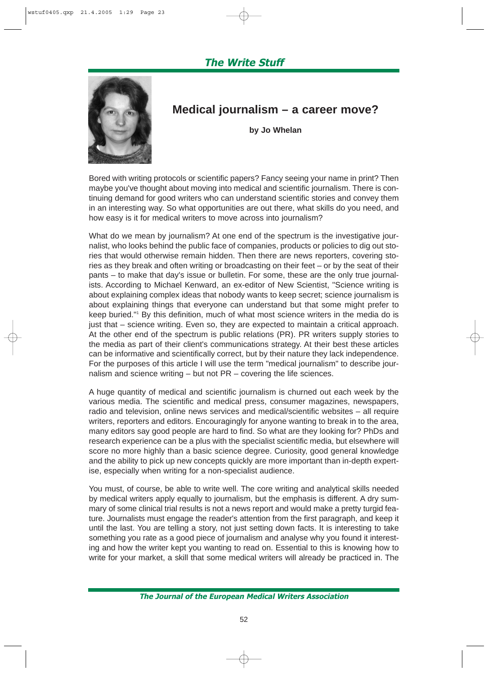# The Write Stuff



# **Medical journalism – a career move?**

**by Jo Whelan**

Bored with writing protocols or scientific papers? Fancy seeing your name in print? Then maybe you've thought about moving into medical and scientific journalism. There is continuing demand for good writers who can understand scientific stories and convey them in an interesting way. So what opportunities are out there, what skills do you need, and how easy is it for medical writers to move across into journalism?

What do we mean by journalism? At one end of the spectrum is the investigative journalist, who looks behind the public face of companies, products or policies to dig out stories that would otherwise remain hidden. Then there are news reporters, covering stories as they break and often writing or broadcasting on their feet – or by the seat of their pants – to make that day's issue or bulletin. For some, these are the only true journalists. According to Michael Kenward, an ex-editor of New Scientist, "Science writing is about explaining complex ideas that nobody wants to keep secret; science journalism is about explaining things that everyone can understand but that some might prefer to keep buried."1 By this definition, much of what most science writers in the media do is just that – science writing. Even so, they are expected to maintain a critical approach. At the other end of the spectrum is public relations (PR). PR writers supply stories to the media as part of their client's communications strategy. At their best these articles can be informative and scientifically correct, but by their nature they lack independence. For the purposes of this article I will use the term "medical journalism" to describe journalism and science writing – but not PR – covering the life sciences.

A huge quantity of medical and scientific journalism is churned out each week by the various media. The scientific and medical press, consumer magazines, newspapers, radio and television, online news services and medical/scientific websites – all require writers, reporters and editors. Encouragingly for anyone wanting to break in to the area, many editors say good people are hard to find. So what are they looking for? PhDs and research experience can be a plus with the specialist scientific media, but elsewhere will score no more highly than a basic science degree. Curiosity, good general knowledge and the ability to pick up new concepts quickly are more important than in-depth expertise, especially when writing for a non-specialist audience.

You must, of course, be able to write well. The core writing and analytical skills needed by medical writers apply equally to journalism, but the emphasis is different. A dry summary of some clinical trial results is not a news report and would make a pretty turgid feature. Journalists must engage the reader's attention from the first paragraph, and keep it until the last. You are telling a story, not just setting down facts. It is interesting to take something you rate as a good piece of journalism and analyse why you found it interesting and how the writer kept you wanting to read on. Essential to this is knowing how to write for your market, a skill that some medical writers will already be practiced in. The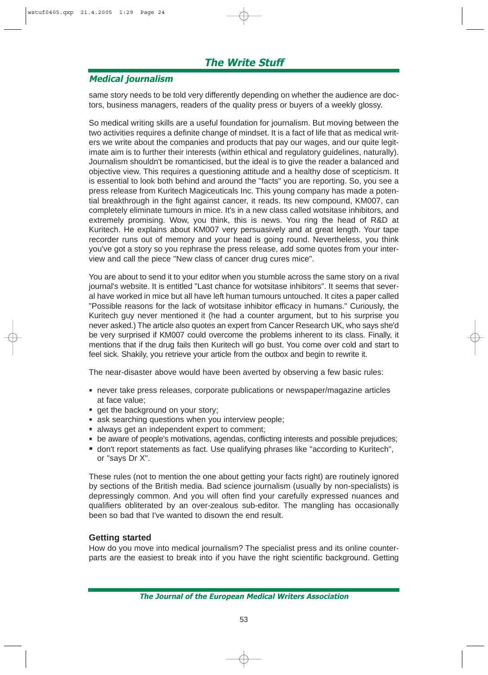# The Write Stuff

## Medical journalism

same story needs to be told very differently depending on whether the audience are doctors, business managers, readers of the quality press or buyers of a weekly glossy.

So medical writing skills are a useful foundation for journalism. But moving between the two activities requires a definite change of mindset. It is a fact of life that as medical writers we write about the companies and products that pay our wages, and our quite legitimate aim is to further their interests (within ethical and regulatory guidelines, naturally). Journalism shouldn't be romanticised, but the ideal is to give the reader a balanced and objective view. This requires a questioning attitude and a healthy dose of scepticism. It is essential to look both behind and around the "facts" you are reporting. So, you see a press release from Kuritech Magiceuticals Inc. This young company has made a potential breakthrough in the fight against cancer, it reads. Its new compound, KM007, can completely eliminate tumours in mice. It's in a new class called wotsitase inhibitors, and extremely promising. Wow, you think, this is news. You ring the head of R&D at Kuritech. He explains about KM007 very persuasively and at great length. Your tape recorder runs out of memory and your head is going round. Nevertheless, you think you've got a story so you rephrase the press release, add some quotes from your interview and call the piece "New class of cancer drug cures mice".

You are about to send it to your editor when you stumble across the same story on a rival journal's website. It is entitled "Last chance for wotsitase inhibitors". It seems that several have worked in mice but all have left human tumours untouched. It cites a paper called "Possible reasons for the lack of wotsitase inhibitor efficacy in humans." Curiously, the Kuritech guy never mentioned it (he had a counter argument, but to his surprise you never asked.) The article also quotes an expert from Cancer Research UK, who says she'd be very surprised if KM007 could overcome the problems inherent to its class. Finally, it mentions that if the drug fails then Kuritech will go bust. You come over cold and start to feel sick. Shakily, you retrieve your article from the outbox and begin to rewrite it.

The near-disaster above would have been averted by observing a few basic rules:

- never take press releases, corporate publications or newspaper/magazine articles at face value;
- **get the background on your story;**
- ask searching questions when you interview people;
- **always get an independent expert to comment;**
- be aware of people's motivations, agendas, conflicting interests and possible prejudices;
- don't report statements as fact. Use qualifying phrases like "according to Kuritech", or "says Dr X".

These rules (not to mention the one about getting your facts right) are routinely ignored by sections of the British media. Bad science journalism (usually by non-specialists) is depressingly common. And you will often find your carefully expressed nuances and qualifiers obliterated by an over-zealous sub-editor. The mangling has occasionally been so bad that I've wanted to disown the end result.

#### **Getting started**

How do you move into medical journalism? The specialist press and its online counterparts are the easiest to break into if you have the right scientific background. Getting